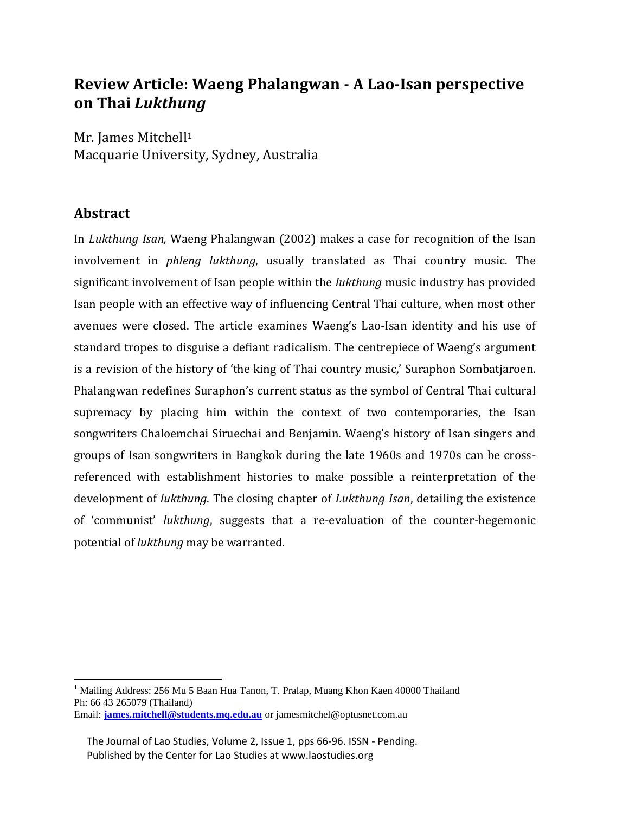# **Review Article: Waeng Phalangwan - A Lao-Isan perspective on Thai** *Lukthung*

Mr. James Mitchell<sup>1</sup> Macquarie University, Sydney, Australia

### **Abstract**

 $\overline{a}$ 

In *Lukthung Isan,* Waeng Phalangwan (2002) makes a case for recognition of the Isan involvement in *phleng lukthung*, usually translated as Thai country music. The significant involvement of Isan people within the *lukthung* music industry has provided Isan people with an effective way of influencing Central Thai culture, when most other avenues were closed. The article examines Waeng's Lao-Isan identity and his use of standard tropes to disguise a defiant radicalism. The centrepiece of Waeng's argument is a revision of the history of 'the king of Thai country music,' Suraphon Sombatjaroen. Phalangwan redefines Suraphon's current status as the symbol of Central Thai cultural supremacy by placing him within the context of two contemporaries, the Isan songwriters Chaloemchai Siruechai and Benjamin. Waeng's history of Isan singers and groups of Isan songwriters in Bangkok during the late 1960s and 1970s can be crossreferenced with establishment histories to make possible a reinterpretation of the development of *lukthung*. The closing chapter of *Lukthung Isan*, detailing the existence of 'communist' *lukthung*, suggests that a re-evaluation of the counter-hegemonic potential of *lukthung* may be warranted.

<sup>&</sup>lt;sup>1</sup> Mailing Address: 256 Mu 5 Baan Hua Tanon, T. Pralap, Muang Khon Kaen 40000 Thailand Ph: 66 43 265079 (Thailand) Email: **[james.mitchell@students.mq.edu.au](mailto:james.mitchell@students.mq.edu.au)** or jamesmitchel@optusnet.com.au

The Journal of Lao Studies, Volume 2, Issue 1, pps 66-96. ISSN - Pending. Published by the Center for Lao Studies at www.laostudies.org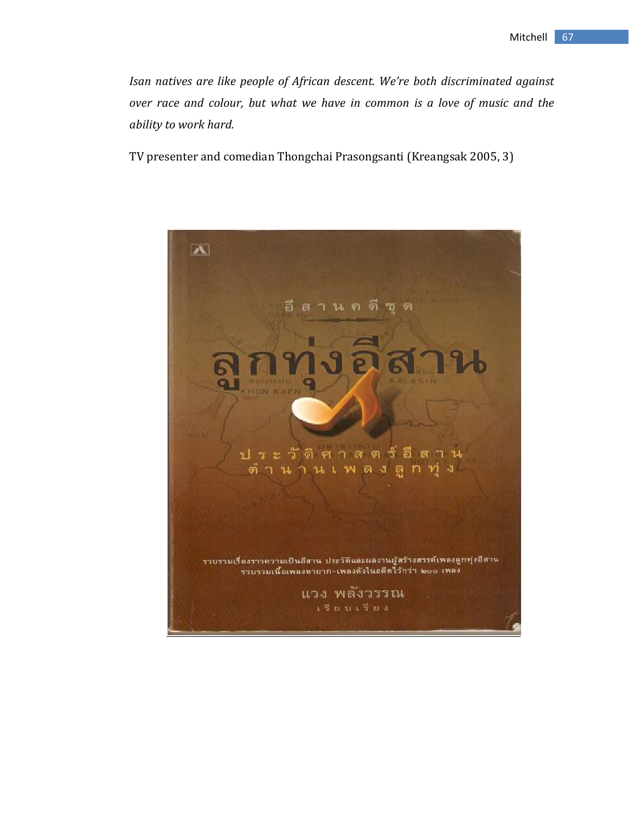*Isan natives are like people of African descent. We're both discriminated against over race and colour, but what we have in common is a love of music and the ability to work hard.*

TV presenter and comedian Thongchai Prasongsanti (Kreangsak 2005, 3)

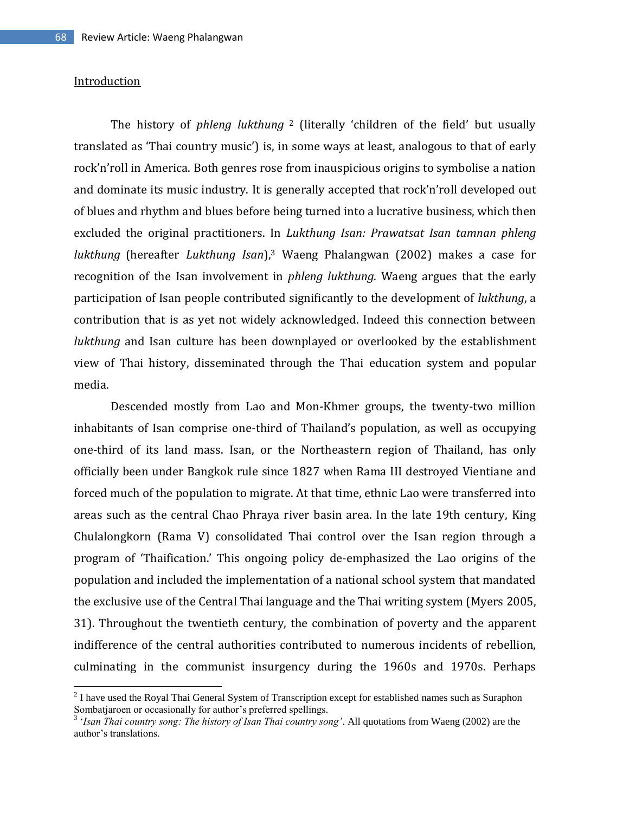### Introduction

 $\overline{\phantom{a}}$ 

The history of *phleng lukthung* <sup>2</sup> (literally 'children of the field' but usually translated as 'Thai country music') is, in some ways at least, analogous to that of early rock'n'roll in America. Both genres rose from inauspicious origins to symbolise a nation and dominate its music industry. It is generally accepted that rock'n'roll developed out of blues and rhythm and blues before being turned into a lucrative business, which then excluded the original practitioners. In *Lukthung Isan: Prawatsat Isan tamnan phleng lukthung* (hereafter *Lukthung Isan*), <sup>3</sup> Waeng Phalangwan (2002) makes a case for recognition of the Isan involvement in *phleng lukthung*. Waeng argues that the early participation of Isan people contributed significantly to the development of *lukthung*, a contribution that is as yet not widely acknowledged. Indeed this connection between *lukthung* and Isan culture has been downplayed or overlooked by the establishment view of Thai history, disseminated through the Thai education system and popular media.

Descended mostly from Lao and Mon-Khmer groups, the twenty-two million inhabitants of Isan comprise one-third of Thailand's population, as well as occupying one-third of its land mass. Isan, or the Northeastern region of Thailand, has only officially been under Bangkok rule since 1827 when Rama III destroyed Vientiane and forced much of the population to migrate. At that time, ethnic Lao were transferred into areas such as the central Chao Phraya river basin area. In the late 19th century, King Chulalongkorn (Rama V) consolidated Thai control over the Isan region through a program of 'Thaification.' This ongoing policy de-emphasized the Lao origins of the population and included the implementation of a national school system that mandated the exclusive use of the Central Thai language and the Thai writing system (Myers 2005, 31). Throughout the twentieth century, the combination of poverty and the apparent indifference of the central authorities contributed to numerous incidents of rebellion, culminating in the communist insurgency during the 1960s and 1970s. Perhaps

 $2^{2}$  I have used the Royal Thai General System of Transcription except for established names such as Suraphon Sombatjaroen or occasionally for author's preferred spellings. 3 '*Isan Thai country song: The history of Isan Thai country song'*. All quotations from Waeng (2002) are the

author's translations.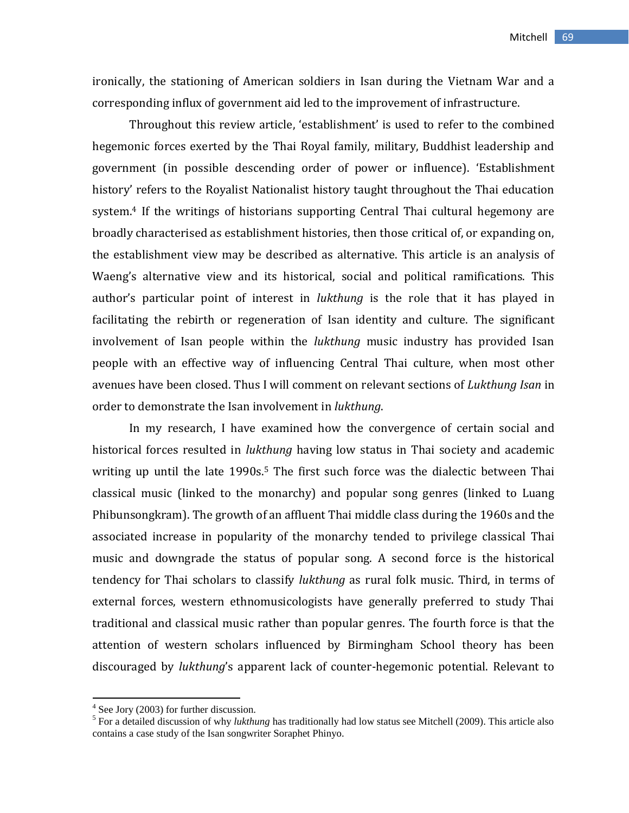ironically, the stationing of American soldiers in Isan during the Vietnam War and a corresponding influx of government aid led to the improvement of infrastructure.

Throughout this review article, 'establishment' is used to refer to the combined hegemonic forces exerted by the Thai Royal family, military, Buddhist leadership and government (in possible descending order of power or influence). 'Establishment history' refers to the Royalist Nationalist history taught throughout the Thai education system.<sup>4</sup> If the writings of historians supporting Central Thai cultural hegemony are broadly characterised as establishment histories, then those critical of, or expanding on, the establishment view may be described as alternative. This article is an analysis of Waeng's alternative view and its historical, social and political ramifications. This author's particular point of interest in *lukthung* is the role that it has played in facilitating the rebirth or regeneration of Isan identity and culture. The significant involvement of Isan people within the *lukthung* music industry has provided Isan people with an effective way of influencing Central Thai culture, when most other avenues have been closed. Thus I will comment on relevant sections of *Lukthung Isan* in order to demonstrate the Isan involvement in *lukthung*.

In my research, I have examined how the convergence of certain social and historical forces resulted in *lukthung* having low status in Thai society and academic writing up until the late 1990s.<sup>5</sup> The first such force was the dialectic between Thai classical music (linked to the monarchy) and popular song genres (linked to Luang Phibunsongkram). The growth of an affluent Thai middle class during the 1960s and the associated increase in popularity of the monarchy tended to privilege classical Thai music and downgrade the status of popular song. A second force is the historical tendency for Thai scholars to classify *lukthung* as rural folk music. Third, in terms of external forces, western ethnomusicologists have generally preferred to study Thai traditional and classical music rather than popular genres. The fourth force is that the attention of western scholars influenced by Birmingham School theory has been discouraged by *lukthung*'s apparent lack of counter-hegemonic potential. Relevant to

 4 See Jory (2003) for further discussion.

<sup>&</sup>lt;sup>5</sup> For a detailed discussion of why *lukthung* has traditionally had low status see Mitchell (2009). This article also contains a case study of the Isan songwriter Soraphet Phinyo.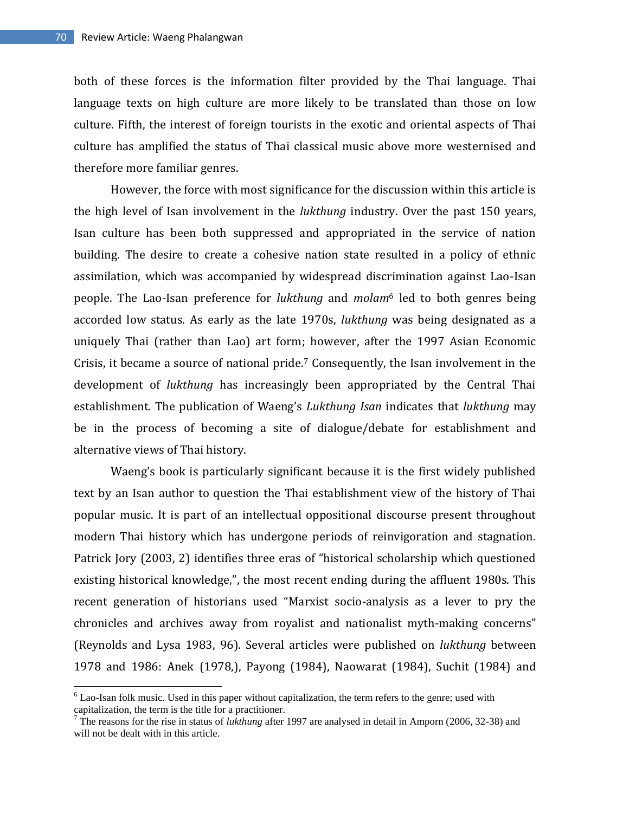$\overline{\phantom{a}}$ 

both of these forces is the information filter provided by the Thai language. Thai language texts on high culture are more likely to be translated than those on low culture. Fifth, the interest of foreign tourists in the exotic and oriental aspects of Thai culture has amplified the status of Thai classical music above more westernised and therefore more familiar genres.

However, the force with most significance for the discussion within this article is the high level of Isan involvement in the *lukthung* industry. Over the past 150 years, Isan culture has been both suppressed and appropriated in the service of nation building. The desire to create a cohesive nation state resulted in a policy of ethnic assimilation, which was accompanied by widespread discrimination against Lao-Isan people. The Lao-Isan preference for *lukthung* and *molam*<sup>6</sup> led to both genres being accorded low status. As early as the late 1970s, *lukthung* was being designated as a uniquely Thai (rather than Lao) art form; however, after the 1997 Asian Economic Crisis, it became a source of national pride.<sup>7</sup> Consequently, the Isan involvement in the development of *lukthung* has increasingly been appropriated by the Central Thai establishment. The publication of Waeng's *Lukthung Isan* indicates that *lukthung* may be in the process of becoming a site of dialogue/debate for establishment and alternative views of Thai history.

Waeng's book is particularly significant because it is the first widely published text by an Isan author to question the Thai establishment view of the history of Thai popular music. It is part of an intellectual oppositional discourse present throughout modern Thai history which has undergone periods of reinvigoration and stagnation. Patrick Jory (2003, 2) identifies three eras of "historical scholarship which questioned existing historical knowledge,", the most recent ending during the affluent 1980s. This recent generation of historians used "Marxist socio-analysis as a lever to pry the chronicles and archives away from royalist and nationalist myth-making concerns" (Reynolds and Lysa 1983, 96). Several articles were published on *lukthung* between 1978 and 1986: Anek (1978,), Payong (1984), Naowarat (1984), Suchit (1984) and

 $6$  Lao-Isan folk music. Used in this paper without capitalization, the term refers to the genre; used with capitalization, the term is the title for a practitioner.

<sup>7</sup> The reasons for the rise in status of *lukthung* after 1997 are analysed in detail in Amporn (2006, 32-38) and will not be dealt with in this article.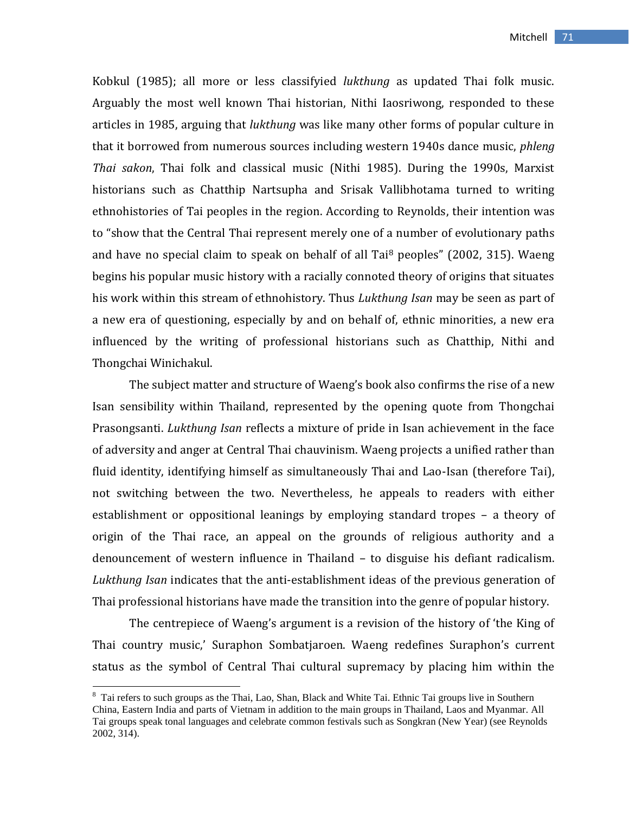Kobkul (1985); all more or less classifyied *lukthung* as updated Thai folk music. Arguably the most well known Thai historian, Nithi Iaosriwong, responded to these articles in 1985, arguing that *lukthung* was like many other forms of popular culture in that it borrowed from numerous sources including western 1940s dance music, *phleng Thai sakon*, Thai folk and classical music (Nithi 1985). During the 1990s, Marxist historians such as Chatthip Nartsupha and Srisak Vallibhotama turned to writing ethnohistories of Tai peoples in the region. According to Reynolds, their intention was to "show that the Central Thai represent merely one of a number of evolutionary paths and have no special claim to speak on behalf of all Tai $8$  peoples" (2002, 315). Waeng begins his popular music history with a racially connoted theory of origins that situates his work within this stream of ethnohistory. Thus *Lukthung Isan* may be seen as part of a new era of questioning, especially by and on behalf of, ethnic minorities, a new era influenced by the writing of professional historians such as Chatthip, Nithi and Thongchai Winichakul.

The subject matter and structure of Waeng's book also confirms the rise of a new Isan sensibility within Thailand, represented by the opening quote from Thongchai Prasongsanti. *Lukthung Isan* reflects a mixture of pride in Isan achievement in the face of adversity and anger at Central Thai chauvinism. Waeng projects a unified rather than fluid identity, identifying himself as simultaneously Thai and Lao-Isan (therefore Tai), not switching between the two. Nevertheless, he appeals to readers with either establishment or oppositional leanings by employing standard tropes – a theory of origin of the Thai race, an appeal on the grounds of religious authority and a denouncement of western influence in Thailand – to disguise his defiant radicalism. *Lukthung Isan* indicates that the anti-establishment ideas of the previous generation of Thai professional historians have made the transition into the genre of popular history.

The centrepiece of Waeng's argument is a revision of the history of 'the King of Thai country music,' Suraphon Sombatjaroen. Waeng redefines Suraphon's current status as the symbol of Central Thai cultural supremacy by placing him within the

<sup>&</sup>lt;sup>8</sup> Tai refers to such groups as the Thai, Lao, Shan, Black and White Tai. Ethnic Tai groups live in Southern China, Eastern India and parts of Vietnam in addition to the main groups in Thailand, Laos and Myanmar. All Tai groups speak tonal languages and celebrate common festivals such as Songkran (New Year) (see Reynolds 2002, 314).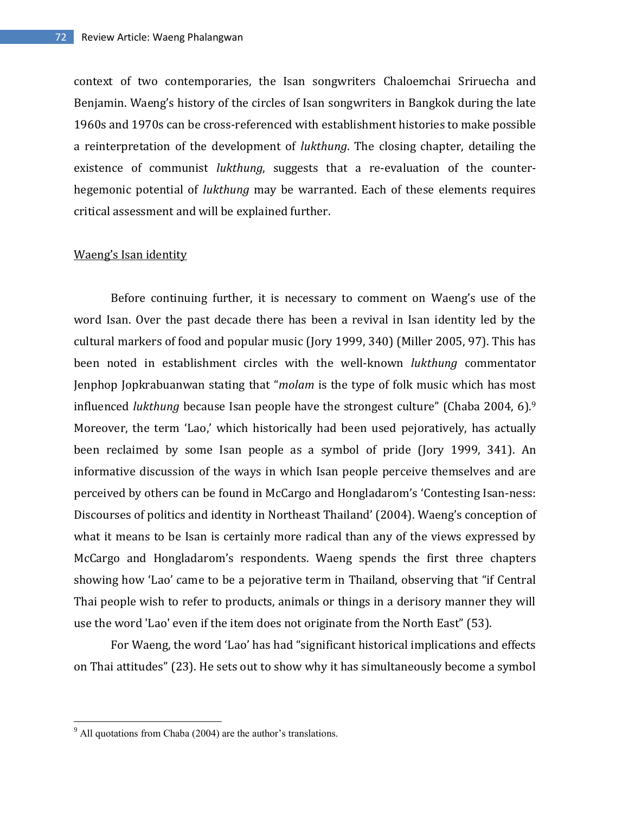context of two contemporaries, the Isan songwriters Chaloemchai Sriruecha and Benjamin. Waeng's history of the circles of Isan songwriters in Bangkok during the late 1960s and 1970s can be cross-referenced with establishment histories to make possible a reinterpretation of the development of *lukthung*. The closing chapter, detailing the existence of communist *lukthung*, suggests that a re-evaluation of the counterhegemonic potential of *lukthung* may be warranted. Each of these elements requires critical assessment and will be explained further.

### Waeng's Isan identity

Before continuing further, it is necessary to comment on Waeng's use of the word Isan. Over the past decade there has been a revival in Isan identity led by the cultural markers of food and popular music (Jory 1999, 340) (Miller 2005, 97). This has been noted in establishment circles with the well-known *lukthung* commentator Jenphop Jopkrabuanwan stating that "*molam* is the type of folk music which has most influenced *lukthung* because Isan people have the strongest culture" (Chaba 2004, 6).<sup>9</sup> Moreover, the term 'Lao,' which historically had been used pejoratively, has actually been reclaimed by some Isan people as a symbol of pride (Jory 1999, 341). An informative discussion of the ways in which Isan people perceive themselves and are perceived by others can be found in McCargo and Hongladarom's 'Contesting Isan-ness: Discourses of politics and identity in Northeast Thailand' (2004). Waeng's conception of what it means to be Isan is certainly more radical than any of the views expressed by McCargo and Hongladarom's respondents. Waeng spends the first three chapters showing how 'Lao' came to be a pejorative term in Thailand, observing that "if Central Thai people wish to refer to products, animals or things in a derisory manner they will use the word 'Lao' even if the item does not originate from the North East" (53).

For Waeng, the word 'Lao' has had "significant historical implications and effects on Thai attitudes" (23). He sets out to show why it has simultaneously become a symbol

 $9$  All quotations from Chaba (2004) are the author's translations.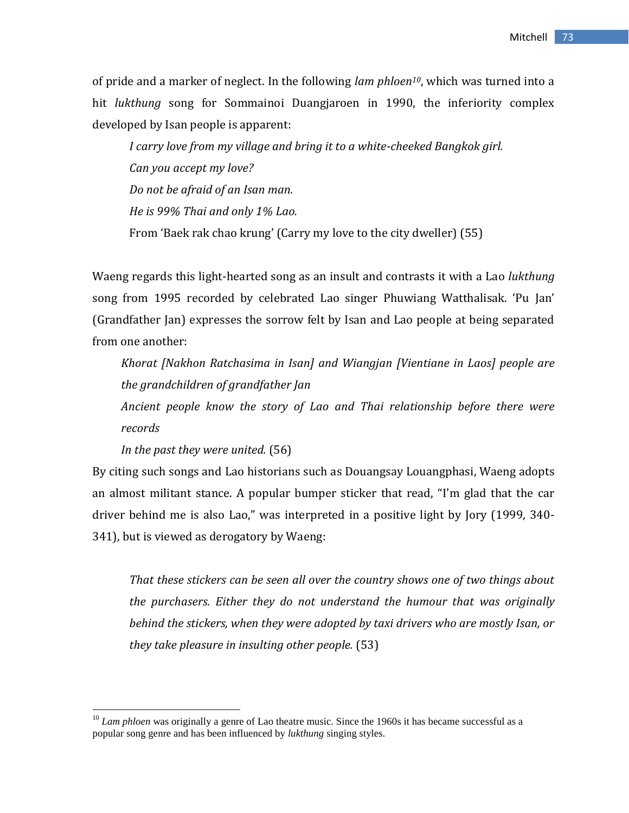of pride and a marker of neglect. In the following *lam phloen10*, which was turned into a hit *lukthung* song for Sommainoi Duangjaroen in 1990, the inferiority complex developed by Isan people is apparent:

*I carry love from my village and bring it to a white-cheeked Bangkok girl. Can you accept my love? Do not be afraid of an Isan man. He is 99% Thai and only 1% Lao.* From 'Baek rak chao krung' (Carry my love to the city dweller) (55)

Waeng regards this light-hearted song as an insult and contrasts it with a Lao *lukthung* song from 1995 recorded by celebrated Lao singer Phuwiang Watthalisak. 'Pu Jan' (Grandfather Jan) expresses the sorrow felt by Isan and Lao people at being separated from one another:

*Khorat [Nakhon Ratchasima in Isan] and Wiangjan [Vientiane in Laos] people are the grandchildren of grandfather Jan*

*Ancient people know the story of Lao and Thai relationship before there were records*

*In the past they were united.* (56)

 $\overline{\phantom{a}}$ 

By citing such songs and Lao historians such as Douangsay Louangphasi, Waeng adopts an almost militant stance. A popular bumper sticker that read, "I'm glad that the car driver behind me is also Lao," was interpreted in a positive light by Jory (1999, 340- 341), but is viewed as derogatory by Waeng:

*That these stickers can be seen all over the country shows one of two things about the purchasers. Either they do not understand the humour that was originally behind the stickers, when they were adopted by taxi drivers who are mostly Isan, or they take pleasure in insulting other people.* (53)

<sup>&</sup>lt;sup>10</sup> *Lam phloen* was originally a genre of Lao theatre music. Since the 1960s it has became successful as a popular song genre and has been influenced by *lukthung* singing styles.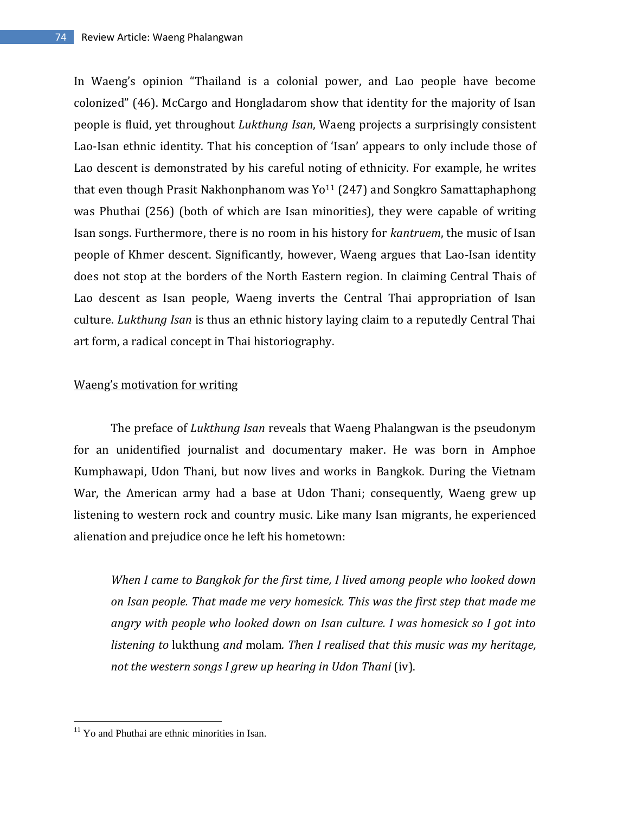In Waeng's opinion "Thailand is a colonial power, and Lao people have become colonized" (46). McCargo and Hongladarom show that identity for the majority of Isan people is fluid, yet throughout *Lukthung Isan*, Waeng projects a surprisingly consistent Lao-Isan ethnic identity. That his conception of 'Isan' appears to only include those of Lao descent is demonstrated by his careful noting of ethnicity. For example, he writes that even though Prasit Nakhonphanom was  $Yo^{11}$  (247) and Songkro Samattaphaphong was Phuthai (256) (both of which are Isan minorities), they were capable of writing Isan songs. Furthermore, there is no room in his history for *kantruem*, the music of Isan people of Khmer descent. Significantly, however, Waeng argues that Lao-Isan identity does not stop at the borders of the North Eastern region. In claiming Central Thais of Lao descent as Isan people, Waeng inverts the Central Thai appropriation of Isan culture. *Lukthung Isan* is thus an ethnic history laying claim to a reputedly Central Thai art form, a radical concept in Thai historiography.

### Waeng's motivation for writing

The preface of *Lukthung Isan* reveals that Waeng Phalangwan is the pseudonym for an unidentified journalist and documentary maker. He was born in Amphoe Kumphawapi, Udon Thani, but now lives and works in Bangkok. During the Vietnam War, the American army had a base at Udon Thani; consequently, Waeng grew up listening to western rock and country music. Like many Isan migrants, he experienced alienation and prejudice once he left his hometown:

*When I came to Bangkok for the first time, I lived among people who looked down on Isan people. That made me very homesick. This was the first step that made me angry with people who looked down on Isan culture. I was homesick so I got into listening to* lukthung *and* molam*. Then I realised that this music was my heritage, not the western songs I grew up hearing in Udon Thani* (iv).

 $11$  Yo and Phuthai are ethnic minorities in Isan.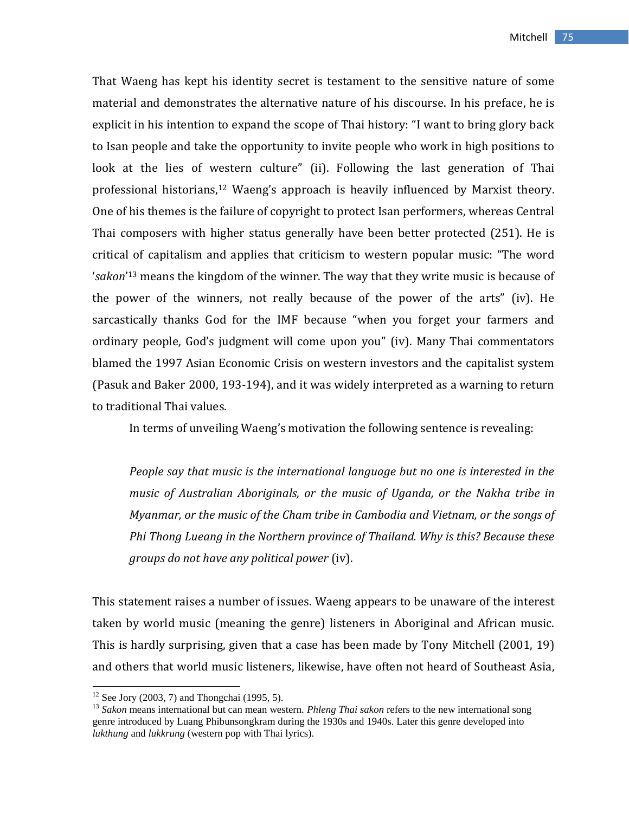That Waeng has kept his identity secret is testament to the sensitive nature of some material and demonstrates the alternative nature of his discourse. In his preface, he is explicit in his intention to expand the scope of Thai history: "I want to bring glory back to Isan people and take the opportunity to invite people who work in high positions to look at the lies of western culture" (ii). Following the last generation of Thai professional historians, <sup>12</sup> Waeng's approach is heavily influenced by Marxist theory. One of his themes is the failure of copyright to protect Isan performers, whereas Central Thai composers with higher status generally have been better protected (251). He is critical of capitalism and applies that criticism to western popular music: "The word '*sakon*' <sup>13</sup> means the kingdom of the winner. The way that they write music is because of the power of the winners, not really because of the power of the arts" (iv). He sarcastically thanks God for the IMF because "when you forget your farmers and ordinary people, God's judgment will come upon you" (iv). Many Thai commentators blamed the 1997 Asian Economic Crisis on western investors and the capitalist system (Pasuk and Baker 2000, 193-194), and it was widely interpreted as a warning to return to traditional Thai values.

In terms of unveiling Waeng's motivation the following sentence is revealing:

*People say that music is the international language but no one is interested in the music of Australian Aboriginals, or the music of Uganda, or the Nakha tribe in Myanmar, or the music of the Cham tribe in Cambodia and Vietnam, or the songs of Phi Thong Lueang in the Northern province of Thailand. Why is this? Because these groups do not have any political power* (iv).

This statement raises a number of issues. Waeng appears to be unaware of the interest taken by world music (meaning the genre) listeners in Aboriginal and African music. This is hardly surprising, given that a case has been made by Tony Mitchell (2001, 19) and others that world music listeners, likewise, have often not heard of Southeast Asia,

 $12$  See Jory (2003, 7) and Thongchai (1995, 5).

<sup>13</sup> *Sakon* means international but can mean western. *Phleng Thai sakon* refers to the new international song genre introduced by Luang Phibunsongkram during the 1930s and 1940s. Later this genre developed into *lukthung* and *lukkrung* (western pop with Thai lyrics).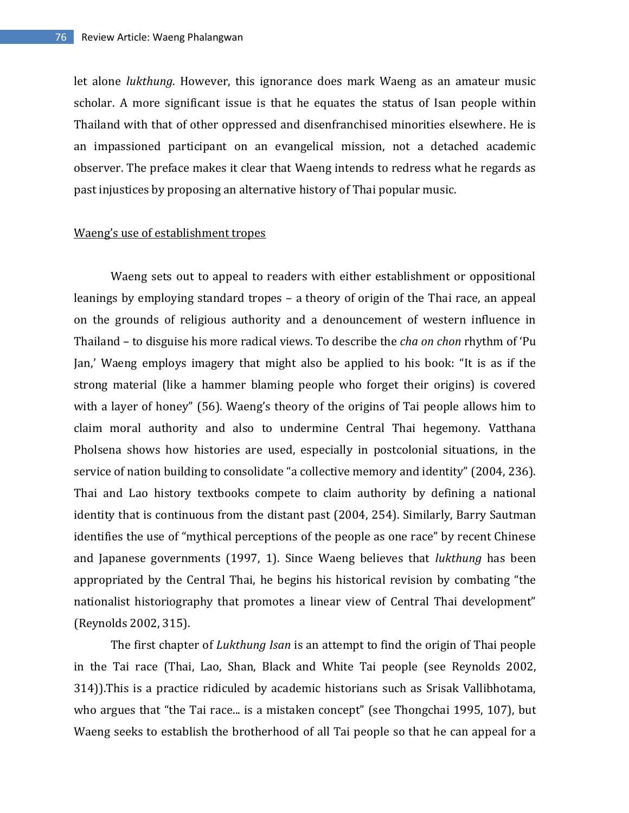let alone *lukthung*. However, this ignorance does mark Waeng as an amateur music scholar. A more significant issue is that he equates the status of Isan people within Thailand with that of other oppressed and disenfranchised minorities elsewhere. He is an impassioned participant on an evangelical mission, not a detached academic observer. The preface makes it clear that Waeng intends to redress what he regards as past injustices by proposing an alternative history of Thai popular music.

### Waeng's use of establishment tropes

Waeng sets out to appeal to readers with either establishment or oppositional leanings by employing standard tropes – a theory of origin of the Thai race, an appeal on the grounds of religious authority and a denouncement of western influence in Thailand – to disguise his more radical views. To describe the *cha on chon* rhythm of 'Pu Jan,' Waeng employs imagery that might also be applied to his book: "It is as if the strong material (like a hammer blaming people who forget their origins) is covered with a layer of honey" (56). Waeng's theory of the origins of Tai people allows him to claim moral authority and also to undermine Central Thai hegemony. Vatthana Pholsena shows how histories are used, especially in postcolonial situations, in the service of nation building to consolidate "a collective memory and identity" (2004, 236). Thai and Lao history textbooks compete to claim authority by defining a national identity that is continuous from the distant past (2004, 254). Similarly, Barry Sautman identifies the use of "mythical perceptions of the people as one race" by recent Chinese and Japanese governments (1997, 1). Since Waeng believes that *lukthung* has been appropriated by the Central Thai, he begins his historical revision by combating "the nationalist historiography that promotes a linear view of Central Thai development" (Reynolds 2002, 315).

The first chapter of *Lukthung Isan* is an attempt to find the origin of Thai people in the Tai race (Thai, Lao, Shan, Black and White Tai people (see Reynolds 2002, 314)).This is a practice ridiculed by academic historians such as Srisak Vallibhotama, who argues that "the Tai race... is a mistaken concept" (see Thongchai 1995, 107), but Waeng seeks to establish the brotherhood of all Tai people so that he can appeal for a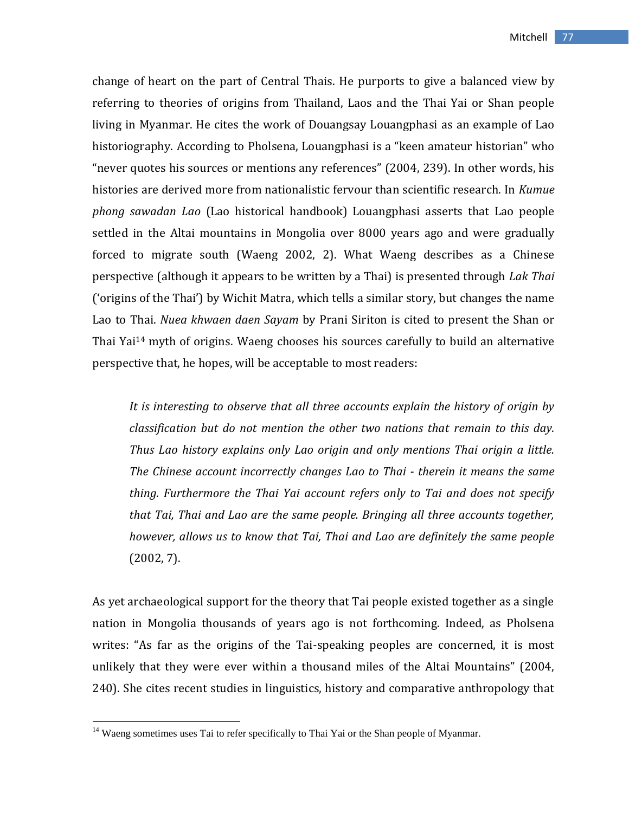change of heart on the part of Central Thais. He purports to give a balanced view by referring to theories of origins from Thailand, Laos and the Thai Yai or Shan people living in Myanmar. He cites the work of Douangsay Louangphasi as an example of Lao historiography. According to Pholsena, Louangphasi is a "keen amateur historian" who "never quotes his sources or mentions any references" (2004, 239). In other words, his histories are derived more from nationalistic fervour than scientific research. In *Kumue phong sawadan Lao* (Lao historical handbook) Louangphasi asserts that Lao people settled in the Altai mountains in Mongolia over 8000 years ago and were gradually forced to migrate south (Waeng 2002, 2). What Waeng describes as a Chinese perspective (although it appears to be written by a Thai) is presented through *Lak Thai* ('origins of the Thai') by Wichit Matra, which tells a similar story, but changes the name Lao to Thai. *Nuea khwaen daen Sayam* by Prani Siriton is cited to present the Shan or Thai Yai<sup>14</sup> myth of origins. Waeng chooses his sources carefully to build an alternative perspective that, he hopes, will be acceptable to most readers:

*It is interesting to observe that all three accounts explain the history of origin by classification but do not mention the other two nations that remain to this day. Thus Lao history explains only Lao origin and only mentions Thai origin a little. The Chinese account incorrectly changes Lao to Thai - therein it means the same thing. Furthermore the Thai Yai account refers only to Tai and does not specify that Tai, Thai and Lao are the same people. Bringing all three accounts together, however, allows us to know that Tai, Thai and Lao are definitely the same people*  (2002, 7).

As yet archaeological support for the theory that Tai people existed together as a single nation in Mongolia thousands of years ago is not forthcoming. Indeed, as Pholsena writes: "As far as the origins of the Tai-speaking peoples are concerned, it is most unlikely that they were ever within a thousand miles of the Altai Mountains" (2004, 240). She cites recent studies in linguistics, history and comparative anthropology that

<sup>&</sup>lt;sup>14</sup> Waeng sometimes uses Tai to refer specifically to Thai Yai or the Shan people of Myanmar.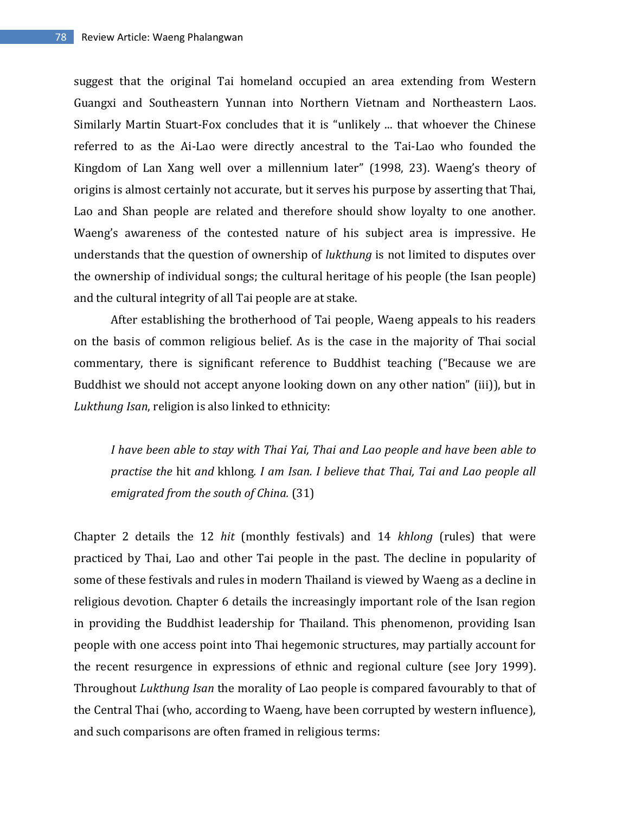suggest that the original Tai homeland occupied an area extending from Western Guangxi and Southeastern Yunnan into Northern Vietnam and Northeastern Laos. Similarly Martin Stuart-Fox concludes that it is "unlikely ... that whoever the Chinese referred to as the Ai-Lao were directly ancestral to the Tai-Lao who founded the Kingdom of Lan Xang well over a millennium later" (1998, 23). Waeng's theory of origins is almost certainly not accurate, but it serves his purpose by asserting that Thai, Lao and Shan people are related and therefore should show loyalty to one another. Waeng's awareness of the contested nature of his subject area is impressive. He understands that the question of ownership of *lukthung* is not limited to disputes over the ownership of individual songs; the cultural heritage of his people (the Isan people) and the cultural integrity of all Tai people are at stake.

After establishing the brotherhood of Tai people, Waeng appeals to his readers on the basis of common religious belief. As is the case in the majority of Thai social commentary, there is significant reference to Buddhist teaching ("Because we are Buddhist we should not accept anyone looking down on any other nation" (iii)), but in *Lukthung Isan*, religion is also linked to ethnicity:

*I have been able to stay with Thai Yai, Thai and Lao people and have been able to practise the* hit *and* khlong*. I am Isan. I believe that Thai, Tai and Lao people all emigrated from the south of China.* (31)

Chapter 2 details the 12 *hit* (monthly festivals) and 14 *khlong* (rules) that were practiced by Thai, Lao and other Tai people in the past. The decline in popularity of some of these festivals and rules in modern Thailand is viewed by Waeng as a decline in religious devotion. Chapter 6 details the increasingly important role of the Isan region in providing the Buddhist leadership for Thailand. This phenomenon, providing Isan people with one access point into Thai hegemonic structures, may partially account for the recent resurgence in expressions of ethnic and regional culture (see Jory 1999). Throughout *Lukthung Isan* the morality of Lao people is compared favourably to that of the Central Thai (who, according to Waeng, have been corrupted by western influence), and such comparisons are often framed in religious terms: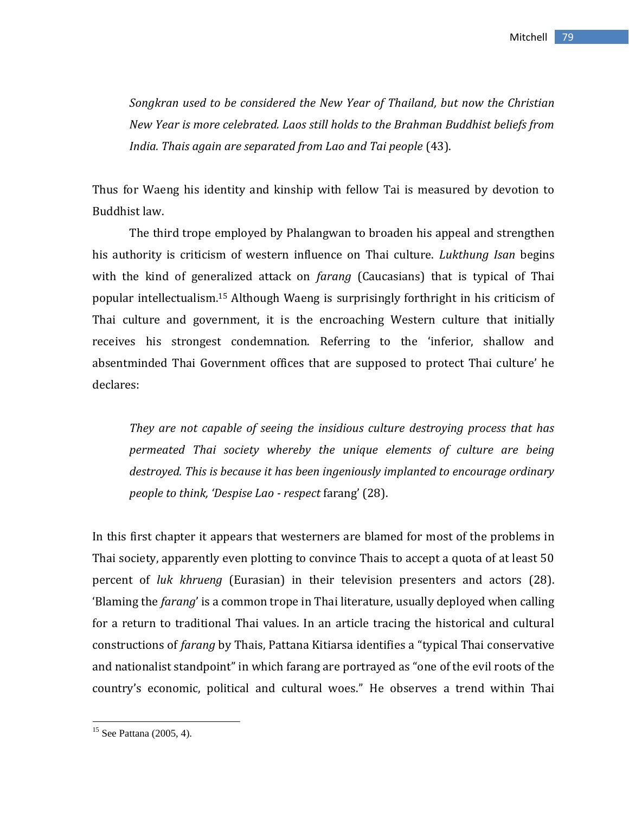*Songkran used to be considered the New Year of Thailand, but now the Christian New Year is more celebrated. Laos still holds to the Brahman Buddhist beliefs from India. Thais again are separated from Lao and Tai people* (43).

Thus for Waeng his identity and kinship with fellow Tai is measured by devotion to Buddhist law.

The third trope employed by Phalangwan to broaden his appeal and strengthen his authority is criticism of western influence on Thai culture. *Lukthung Isan* begins with the kind of generalized attack on *farang* (Caucasians) that is typical of Thai popular intellectualism.<sup>15</sup> Although Waeng is surprisingly forthright in his criticism of Thai culture and government, it is the encroaching Western culture that initially receives his strongest condemnation. Referring to the 'inferior, shallow and absentminded Thai Government offices that are supposed to protect Thai culture' he declares:

*They are not capable of seeing the insidious culture destroying process that has permeated Thai society whereby the unique elements of culture are being destroyed. This is because it has been ingeniously implanted to encourage ordinary people to think, 'Despise Lao - respect* farang' (28).

In this first chapter it appears that westerners are blamed for most of the problems in Thai society, apparently even plotting to convince Thais to accept a quota of at least 50 percent of *luk khrueng* (Eurasian) in their television presenters and actors (28). 'Blaming the *farang*' is a common trope in Thai literature, usually deployed when calling for a return to traditional Thai values. In an article tracing the historical and cultural constructions of *farang* by Thais, Pattana Kitiarsa identifies a "typical Thai conservative and nationalist standpoint" in which farang are portrayed as "one of the evil roots of the country's economic, political and cultural woes." He observes a trend within Thai

 $15$  See Pattana (2005, 4).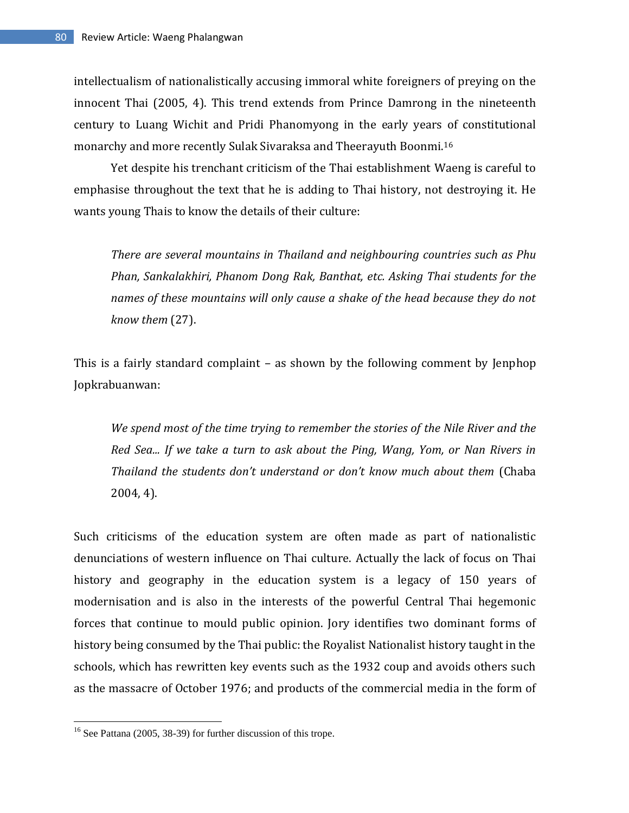intellectualism of nationalistically accusing immoral white foreigners of preying on the innocent Thai (2005, 4). This trend extends from Prince Damrong in the nineteenth century to Luang Wichit and Pridi Phanomyong in the early years of constitutional monarchy and more recently Sulak Sivaraksa and Theerayuth Boonmi.<sup>16</sup>

Yet despite his trenchant criticism of the Thai establishment Waeng is careful to emphasise throughout the text that he is adding to Thai history, not destroying it. He wants young Thais to know the details of their culture:

*There are several mountains in Thailand and neighbouring countries such as Phu Phan, Sankalakhiri, Phanom Dong Rak, Banthat, etc. Asking Thai students for the names of these mountains will only cause a shake of the head because they do not know them* (27).

This is a fairly standard complaint – as shown by the following comment by Jenphop Jopkrabuanwan:

*We spend most of the time trying to remember the stories of the Nile River and the Red Sea... If we take a turn to ask about the Ping, Wang, Yom, or Nan Rivers in Thailand the students don't understand or don't know much about them* (Chaba 2004, 4).

Such criticisms of the education system are often made as part of nationalistic denunciations of western influence on Thai culture. Actually the lack of focus on Thai history and geography in the education system is a legacy of 150 years of modernisation and is also in the interests of the powerful Central Thai hegemonic forces that continue to mould public opinion. Jory identifies two dominant forms of history being consumed by the Thai public: the Royalist Nationalist history taught in the schools, which has rewritten key events such as the 1932 coup and avoids others such as the massacre of October 1976; and products of the commercial media in the form of

 $16$  See Pattana (2005, 38-39) for further discussion of this trope.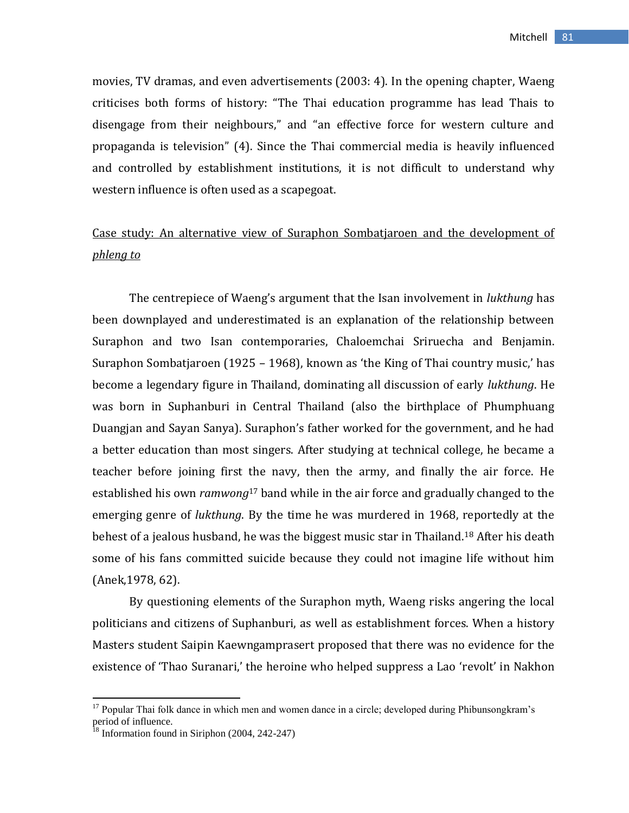movies, TV dramas, and even advertisements (2003: 4). In the opening chapter, Waeng criticises both forms of history: "The Thai education programme has lead Thais to disengage from their neighbours," and "an effective force for western culture and propaganda is television" (4). Since the Thai commercial media is heavily influenced and controlled by establishment institutions, it is not difficult to understand why western influence is often used as a scapegoat.

## Case study: An alternative view of Suraphon Sombatjaroen and the development of *phleng to*

The centrepiece of Waeng's argument that the Isan involvement in *lukthung* has been downplayed and underestimated is an explanation of the relationship between Suraphon and two Isan contemporaries, Chaloemchai Sriruecha and Benjamin. Suraphon Sombatjaroen (1925 – 1968), known as 'the King of Thai country music,' has become a legendary figure in Thailand, dominating all discussion of early *lukthung*. He was born in Suphanburi in Central Thailand (also the birthplace of Phumphuang Duangjan and Sayan Sanya). Suraphon's father worked for the government, and he had a better education than most singers. After studying at technical college, he became a teacher before joining first the navy, then the army, and finally the air force. He established his own *ramwong*<sup>17</sup> band while in the air force and gradually changed to the emerging genre of *lukthung*. By the time he was murdered in 1968, reportedly at the behest of a jealous husband, he was the biggest music star in Thailand.<sup>18</sup> After his death some of his fans committed suicide because they could not imagine life without him (Anek,1978, 62).

By questioning elements of the Suraphon myth, Waeng risks angering the local politicians and citizens of Suphanburi, as well as establishment forces. When a history Masters student Saipin Kaewngamprasert proposed that there was no evidence for the existence of 'Thao Suranari,' the heroine who helped suppress a Lao 'revolt' in Nakhon

<sup>&</sup>lt;sup>17</sup> Popular Thai folk dance in which men and women dance in a circle; developed during Phibunsongkram's period of influence.

 $^{18}$  Information found in Siriphon (2004, 242-247)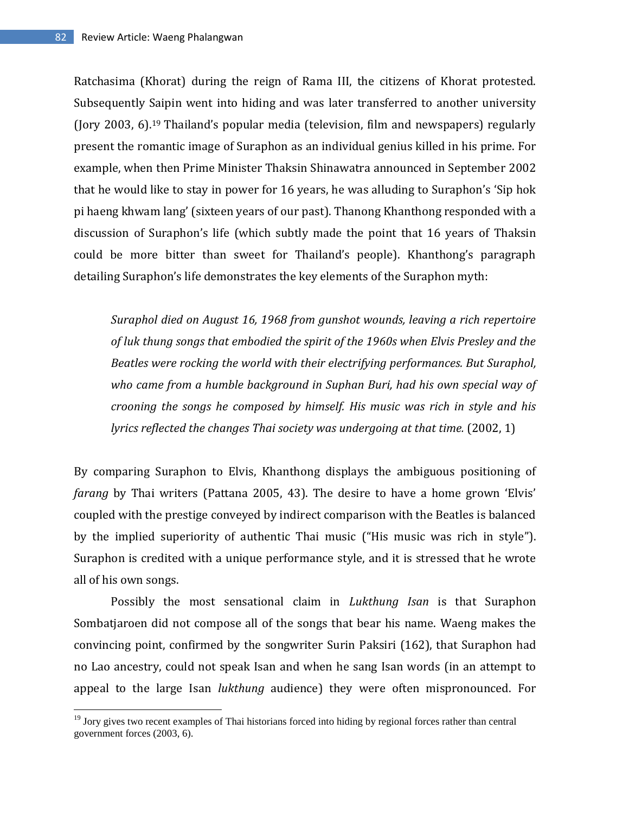$\overline{\phantom{a}}$ 

Ratchasima (Khorat) during the reign of Rama III, the citizens of Khorat protested. Subsequently Saipin went into hiding and was later transferred to another university (Jory 2003, 6).<sup>19</sup> Thailand's popular media (television, film and newspapers) regularly present the romantic image of Suraphon as an individual genius killed in his prime. For example, when then Prime Minister Thaksin Shinawatra announced in September 2002 that he would like to stay in power for 16 years, he was alluding to Suraphon's 'Sip hok pi haeng khwam lang' (sixteen years of our past). Thanong Khanthong responded with a discussion of Suraphon's life (which subtly made the point that 16 years of Thaksin could be more bitter than sweet for Thailand's people). Khanthong's paragraph detailing Suraphon's life demonstrates the key elements of the Suraphon myth:

*Suraphol died on August 16, 1968 from gunshot wounds, leaving a rich repertoire of luk thung songs that embodied the spirit of the 1960s when Elvis Presley and the Beatles were rocking the world with their electrifying performances. But Suraphol, who came from a humble background in Suphan Buri, had his own special way of crooning the songs he composed by himself. His music was rich in style and his lyrics reflected the changes Thai society was undergoing at that time.* (2002, 1)

By comparing Suraphon to Elvis, Khanthong displays the ambiguous positioning of *farang* by Thai writers (Pattana 2005, 43). The desire to have a home grown 'Elvis' coupled with the prestige conveyed by indirect comparison with the Beatles is balanced by the implied superiority of authentic Thai music ("His music was rich in style"). Suraphon is credited with a unique performance style, and it is stressed that he wrote all of his own songs.

Possibly the most sensational claim in *Lukthung Isan* is that Suraphon Sombatjaroen did not compose all of the songs that bear his name. Waeng makes the convincing point, confirmed by the songwriter Surin Paksiri (162), that Suraphon had no Lao ancestry, could not speak Isan and when he sang Isan words (in an attempt to appeal to the large Isan *lukthung* audience) they were often mispronounced. For

 $19$  Jory gives two recent examples of Thai historians forced into hiding by regional forces rather than central government forces (2003, 6).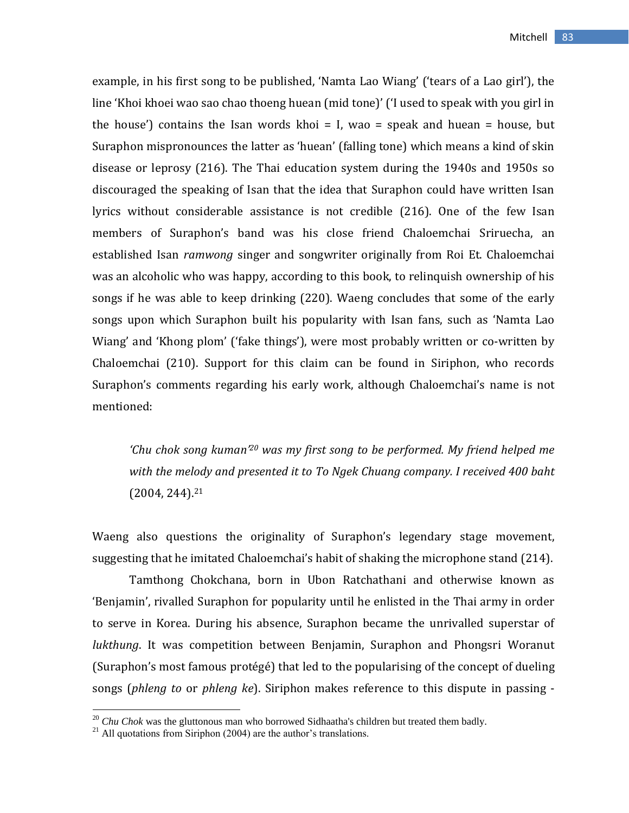example, in his first song to be published, 'Namta Lao Wiang' ('tears of a Lao girl'), the line 'Khoi khoei wao sao chao thoeng huean (mid tone)' ('I used to speak with you girl in the house') contains the Isan words khoi  $=$  I, wao  $=$  speak and huean  $=$  house, but Suraphon mispronounces the latter as 'huean' (falling tone) which means a kind of skin disease or leprosy (216). The Thai education system during the 1940s and 1950s so discouraged the speaking of Isan that the idea that Suraphon could have written Isan lyrics without considerable assistance is not credible (216). One of the few Isan members of Suraphon's band was his close friend Chaloemchai Sriruecha, an established Isan *ramwong* singer and songwriter originally from Roi Et. Chaloemchai was an alcoholic who was happy, according to this book, to relinquish ownership of his songs if he was able to keep drinking (220). Waeng concludes that some of the early songs upon which Suraphon built his popularity with Isan fans, such as 'Namta Lao Wiang' and 'Khong plom' ('fake things'), were most probably written or co-written by Chaloemchai (210). Support for this claim can be found in Siriphon, who records Suraphon's comments regarding his early work, although Chaloemchai's name is not mentioned:

*'Chu chok song kuman'<sup>20</sup> was my first song to be performed. My friend helped me with the melody and presented it to To Ngek Chuang company. I received 400 baht* (2004, 244).<sup>21</sup>

Waeng also questions the originality of Suraphon's legendary stage movement, suggesting that he imitated Chaloemchai's habit of shaking the microphone stand (214).

Tamthong Chokchana, born in Ubon Ratchathani and otherwise known as 'Benjamin', rivalled Suraphon for popularity until he enlisted in the Thai army in order to serve in Korea. During his absence, Suraphon became the unrivalled superstar of *lukthung*. It was competition between Benjamin, Suraphon and Phongsri Woranut (Suraphon's most famous protégé) that led to the popularising of the concept of dueling songs (*phleng to* or *phleng ke*). Siriphon makes reference to this dispute in passing -

<sup>20</sup> *Chu Chok* was the gluttonous man who borrowed Sidhaatha's children but treated them badly.

 $^{21}$  All quotations from Siriphon (2004) are the author's translations.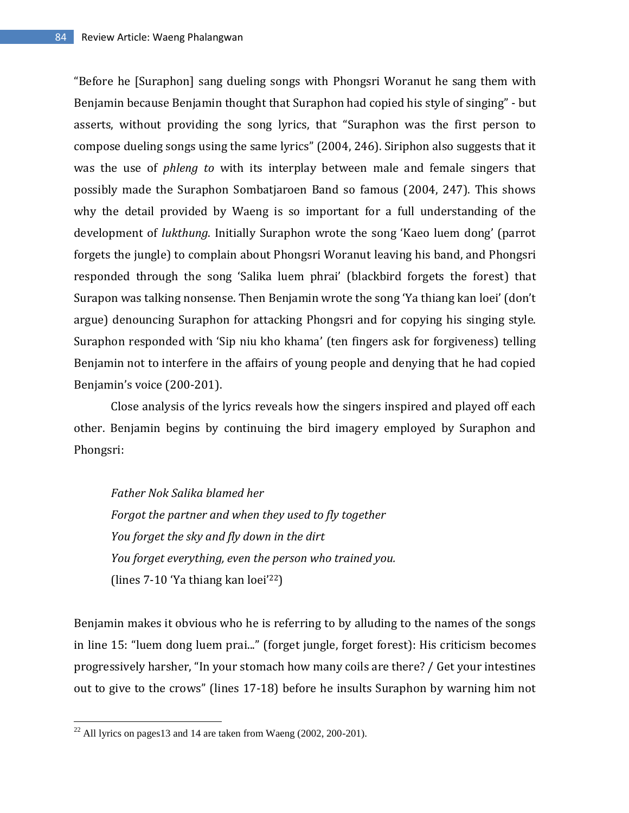"Before he [Suraphon] sang dueling songs with Phongsri Woranut he sang them with Benjamin because Benjamin thought that Suraphon had copied his style of singing" - but asserts, without providing the song lyrics, that "Suraphon was the first person to compose dueling songs using the same lyrics" (2004, 246). Siriphon also suggests that it was the use of *phleng to* with its interplay between male and female singers that possibly made the Suraphon Sombatjaroen Band so famous (2004, 247). This shows why the detail provided by Waeng is so important for a full understanding of the development of *lukthung*. Initially Suraphon wrote the song 'Kaeo luem dong' (parrot forgets the jungle) to complain about Phongsri Woranut leaving his band, and Phongsri responded through the song 'Salika luem phrai' (blackbird forgets the forest) that Surapon was talking nonsense. Then Benjamin wrote the song 'Ya thiang kan loei' (don't argue) denouncing Suraphon for attacking Phongsri and for copying his singing style. Suraphon responded with 'Sip niu kho khama' (ten fingers ask for forgiveness) telling Benjamin not to interfere in the affairs of young people and denying that he had copied Benjamin's voice (200-201).

Close analysis of the lyrics reveals how the singers inspired and played off each other. Benjamin begins by continuing the bird imagery employed by Suraphon and Phongsri:

*Father Nok Salika blamed her Forgot the partner and when they used to fly together You forget the sky and fly down in the dirt You forget everything, even the person who trained you.* (lines 7-10 'Ya thiang kan loei'22)

Benjamin makes it obvious who he is referring to by alluding to the names of the songs in line 15: "luem dong luem prai..." (forget jungle, forget forest): His criticism becomes progressively harsher, "In your stomach how many coils are there? / Get your intestines out to give to the crows" (lines 17-18) before he insults Suraphon by warning him not

 $^{22}$  All lyrics on pages13 and 14 are taken from Waeng (2002, 200-201).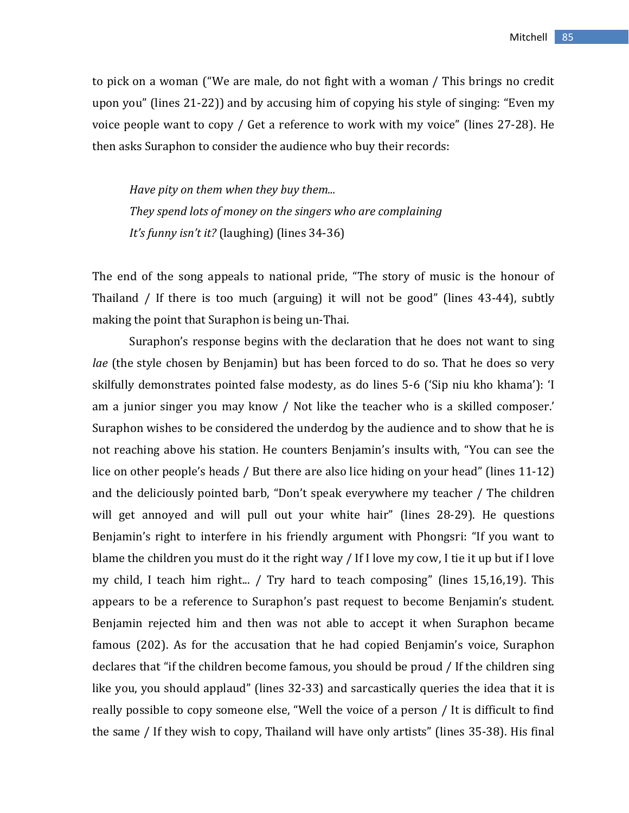to pick on a woman ("We are male, do not fight with a woman / This brings no credit upon you" (lines 21-22)) and by accusing him of copying his style of singing: "Even my voice people want to copy / Get a reference to work with my voice" (lines 27-28). He then asks Suraphon to consider the audience who buy their records:

*Have pity on them when they buy them... They spend lots of money on the singers who are complaining It's funny isn't it?* (laughing) (lines 34-36)

The end of the song appeals to national pride, "The story of music is the honour of Thailand / If there is too much (arguing) it will not be good" (lines 43-44), subtly making the point that Suraphon is being un-Thai.

Suraphon's response begins with the declaration that he does not want to sing *lae* (the style chosen by Benjamin) but has been forced to do so. That he does so very skilfully demonstrates pointed false modesty, as do lines 5-6 ('Sip niu kho khama'): 'I am a junior singer you may know / Not like the teacher who is a skilled composer.' Suraphon wishes to be considered the underdog by the audience and to show that he is not reaching above his station. He counters Benjamin's insults with, "You can see the lice on other people's heads / But there are also lice hiding on your head" (lines 11-12) and the deliciously pointed barb, "Don't speak everywhere my teacher / The children will get annoyed and will pull out your white hair" (lines 28-29). He questions Benjamin's right to interfere in his friendly argument with Phongsri: "If you want to blame the children you must do it the right way / If I love my cow, I tie it up but if I love my child, I teach him right... / Try hard to teach composing" (lines 15,16,19). This appears to be a reference to Suraphon's past request to become Benjamin's student. Benjamin rejected him and then was not able to accept it when Suraphon became famous (202). As for the accusation that he had copied Benjamin's voice, Suraphon declares that "if the children become famous, you should be proud / If the children sing like you, you should applaud" (lines 32-33) and sarcastically queries the idea that it is really possible to copy someone else, "Well the voice of a person / It is difficult to find the same / If they wish to copy, Thailand will have only artists" (lines 35-38). His final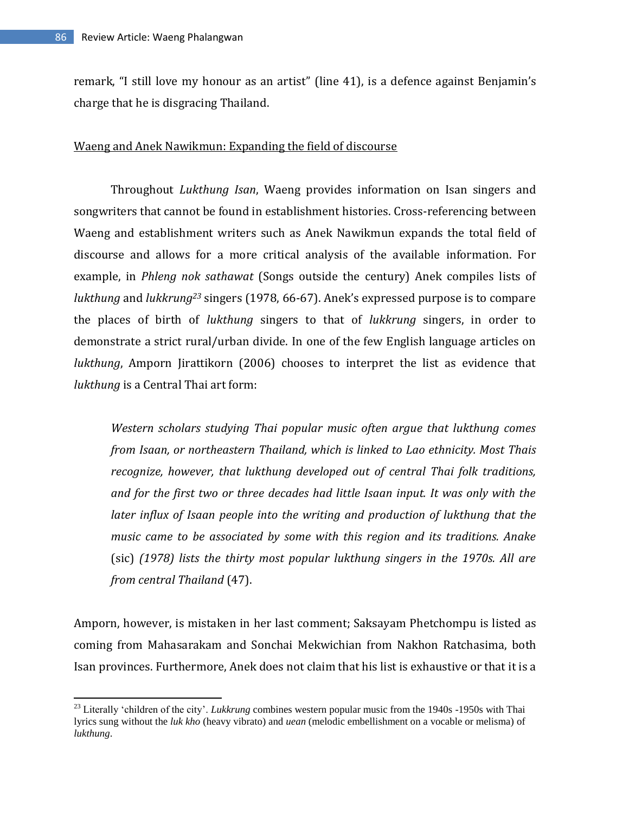$\overline{\phantom{a}}$ 

remark, "I still love my honour as an artist" (line 41), is a defence against Benjamin's charge that he is disgracing Thailand.

### Waeng and Anek Nawikmun: Expanding the field of discourse

Throughout *Lukthung Isan*, Waeng provides information on Isan singers and songwriters that cannot be found in establishment histories. Cross-referencing between Waeng and establishment writers such as Anek Nawikmun expands the total field of discourse and allows for a more critical analysis of the available information. For example, in *Phleng nok sathawat* (Songs outside the century) Anek compiles lists of *lukthung* and *lukkrung<sup>23</sup>* singers (1978, 66-67). Anek's expressed purpose is to compare the places of birth of *lukthung* singers to that of *lukkrung* singers, in order to demonstrate a strict rural/urban divide. In one of the few English language articles on *lukthung*, Amporn Jirattikorn (2006) chooses to interpret the list as evidence that *lukthung* is a Central Thai art form:

*Western scholars studying Thai popular music often argue that lukthung comes from Isaan, or northeastern Thailand, which is linked to Lao ethnicity. Most Thais recognize, however, that lukthung developed out of central Thai folk traditions, and for the first two or three decades had little Isaan input. It was only with the later influx of Isaan people into the writing and production of lukthung that the music came to be associated by some with this region and its traditions. Anake*  (sic) *(1978) lists the thirty most popular lukthung singers in the 1970s. All are from central Thailand* (47).

Amporn, however, is mistaken in her last comment; Saksayam Phetchompu is listed as coming from Mahasarakam and Sonchai Mekwichian from Nakhon Ratchasima, both Isan provinces. Furthermore, Anek does not claim that his list is exhaustive or that it is a

<sup>&</sup>lt;sup>23</sup> Literally 'children of the city'. *Lukkrung* combines western popular music from the 1940s -1950s with Thai lyrics sung without the *luk kho* (heavy vibrato) and *uean* (melodic embellishment on a vocable or melisma) of *lukthung*.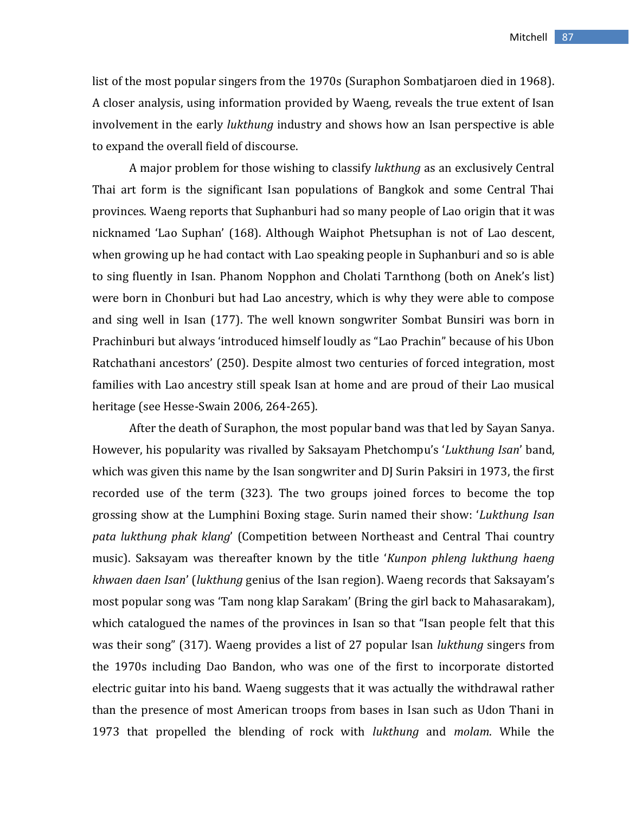list of the most popular singers from the 1970s (Suraphon Sombatjaroen died in 1968). A closer analysis, using information provided by Waeng, reveals the true extent of Isan involvement in the early *lukthung* industry and shows how an Isan perspective is able to expand the overall field of discourse.

A major problem for those wishing to classify *lukthung* as an exclusively Central Thai art form is the significant Isan populations of Bangkok and some Central Thai provinces. Waeng reports that Suphanburi had so many people of Lao origin that it was nicknamed 'Lao Suphan' (168). Although Waiphot Phetsuphan is not of Lao descent, when growing up he had contact with Lao speaking people in Suphanburi and so is able to sing fluently in Isan. Phanom Nopphon and Cholati Tarnthong (both on Anek's list) were born in Chonburi but had Lao ancestry, which is why they were able to compose and sing well in Isan (177). The well known songwriter Sombat Bunsiri was born in Prachinburi but always 'introduced himself loudly as "Lao Prachin" because of his Ubon Ratchathani ancestors' (250). Despite almost two centuries of forced integration, most families with Lao ancestry still speak Isan at home and are proud of their Lao musical heritage (see Hesse-Swain 2006, 264-265).

After the death of Suraphon, the most popular band was that led by Sayan Sanya. However, his popularity was rivalled by Saksayam Phetchompu's '*Lukthung Isan*' band, which was given this name by the Isan songwriter and DJ Surin Paksiri in 1973, the first recorded use of the term (323). The two groups joined forces to become the top grossing show at the Lumphini Boxing stage. Surin named their show: '*Lukthung Isan pata lukthung phak klang*' (Competition between Northeast and Central Thai country music). Saksayam was thereafter known by the title '*Kunpon phleng lukthung haeng khwaen daen Isan*' (*lukthung* genius of the Isan region). Waeng records that Saksayam's most popular song was 'Tam nong klap Sarakam' (Bring the girl back to Mahasarakam), which catalogued the names of the provinces in Isan so that "Isan people felt that this was their song" (317). Waeng provides a list of 27 popular Isan *lukthung* singers from the 1970s including Dao Bandon, who was one of the first to incorporate distorted electric guitar into his band. Waeng suggests that it was actually the withdrawal rather than the presence of most American troops from bases in Isan such as Udon Thani in 1973 that propelled the blending of rock with *lukthung* and *molam*. While the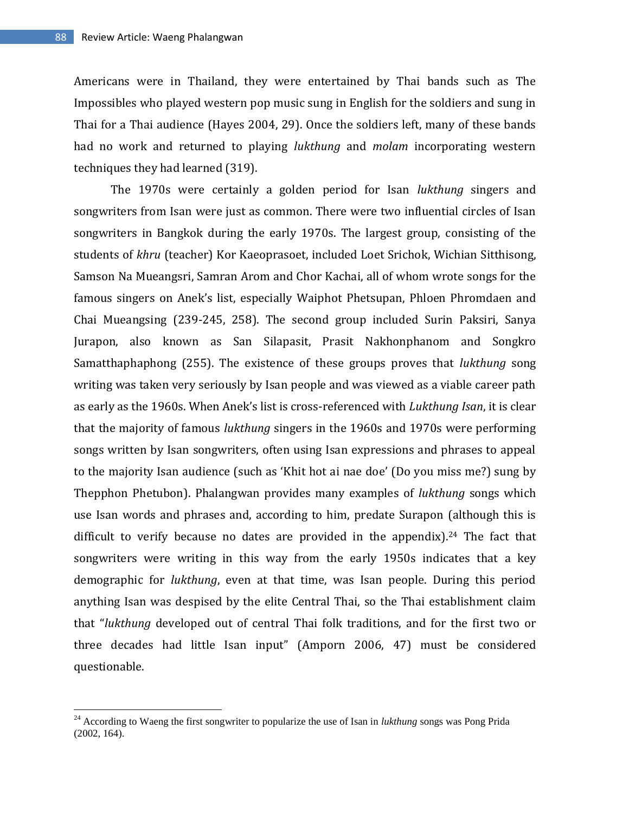$\overline{\phantom{a}}$ 

Americans were in Thailand, they were entertained by Thai bands such as The Impossibles who played western pop music sung in English for the soldiers and sung in Thai for a Thai audience (Hayes 2004, 29). Once the soldiers left, many of these bands had no work and returned to playing *lukthung* and *molam* incorporating western techniques they had learned (319).

The 1970s were certainly a golden period for Isan *lukthung* singers and songwriters from Isan were just as common. There were two influential circles of Isan songwriters in Bangkok during the early 1970s. The largest group, consisting of the students of *khru* (teacher) Kor Kaeoprasoet, included Loet Srichok, Wichian Sitthisong, Samson Na Mueangsri, Samran Arom and Chor Kachai, all of whom wrote songs for the famous singers on Anek's list, especially Waiphot Phetsupan, Phloen Phromdaen and Chai Mueangsing (239-245, 258). The second group included Surin Paksiri, Sanya Jurapon, also known as San Silapasit, Prasit Nakhonphanom and Songkro Samatthaphaphong (255). The existence of these groups proves that *lukthung* song writing was taken very seriously by Isan people and was viewed as a viable career path as early as the 1960s. When Anek's list is cross-referenced with *Lukthung Isan*, it is clear that the majority of famous *lukthung* singers in the 1960s and 1970s were performing songs written by Isan songwriters, often using Isan expressions and phrases to appeal to the majority Isan audience (such as 'Khit hot ai nae doe' (Do you miss me?) sung by Thepphon Phetubon). Phalangwan provides many examples of *lukthung* songs which use Isan words and phrases and, according to him, predate Surapon (although this is difficult to verify because no dates are provided in the appendix). <sup>24</sup> The fact that songwriters were writing in this way from the early 1950s indicates that a key demographic for *lukthung*, even at that time, was Isan people. During this period anything Isan was despised by the elite Central Thai, so the Thai establishment claim that "*lukthung* developed out of central Thai folk traditions, and for the first two or three decades had little Isan input" (Amporn 2006, 47) must be considered questionable.

<sup>24</sup> According to Waeng the first songwriter to popularize the use of Isan in *lukthung* songs was Pong Prida (2002, 164).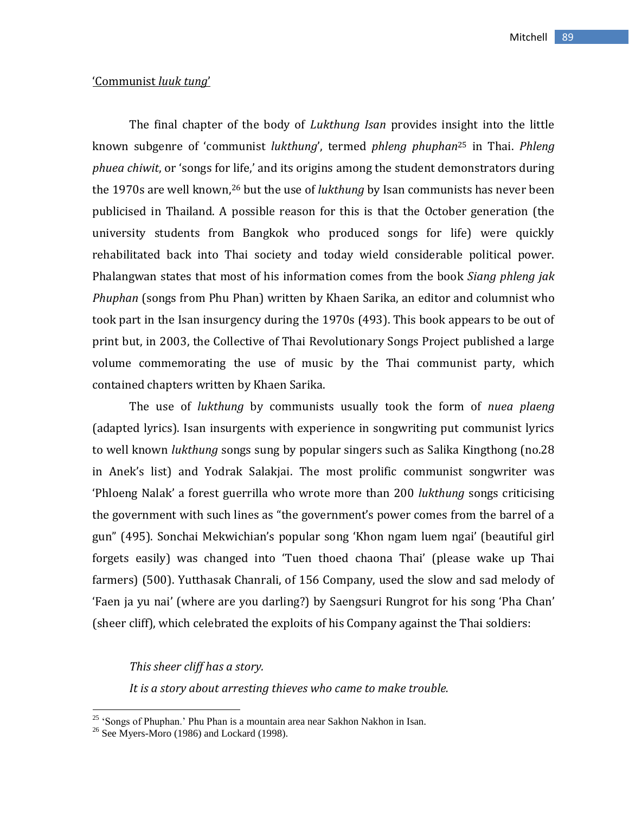### 'Communist *luuk tung*'

The final chapter of the body of *Lukthung Isan* provides insight into the little known subgenre of 'communist *lukthung*', termed *phleng phuphan*<sup>25</sup> in Thai. *Phleng phuea chiwit*, or 'songs for life,' and its origins among the student demonstrators during the 1970s are well known,<sup>26</sup> but the use of *lukthung* by Isan communists has never been publicised in Thailand. A possible reason for this is that the October generation (the university students from Bangkok who produced songs for life) were quickly rehabilitated back into Thai society and today wield considerable political power. Phalangwan states that most of his information comes from the book *Siang phleng jak Phuphan* (songs from Phu Phan) written by Khaen Sarika, an editor and columnist who took part in the Isan insurgency during the 1970s (493). This book appears to be out of print but, in 2003, the Collective of Thai Revolutionary Songs Project published a large volume commemorating the use of music by the Thai communist party, which contained chapters written by Khaen Sarika.

The use of *lukthung* by communists usually took the form of *nuea plaeng* (adapted lyrics). Isan insurgents with experience in songwriting put communist lyrics to well known *lukthung* songs sung by popular singers such as Salika Kingthong (no.28 in Anek's list) and Yodrak Salakjai. The most prolific communist songwriter was 'Phloeng Nalak' a forest guerrilla who wrote more than 200 *lukthung* songs criticising the government with such lines as "the government's power comes from the barrel of a gun" (495). Sonchai Mekwichian's popular song 'Khon ngam luem ngai' (beautiful girl forgets easily) was changed into 'Tuen thoed chaona Thai' (please wake up Thai farmers) (500). Yutthasak Chanrali, of 156 Company, used the slow and sad melody of 'Faen ja yu nai' (where are you darling?) by Saengsuri Rungrot for his song 'Pha Chan' (sheer cliff), which celebrated the exploits of his Company against the Thai soldiers:

### *This sheer cliff has a story.*

*It is a story about arresting thieves who came to make trouble.* 

<sup>&</sup>lt;sup>25</sup> 'Songs of Phuphan.' Phu Phan is a mountain area near Sakhon Nakhon in Isan.

 $26$  See Myers-Moro (1986) and Lockard (1998).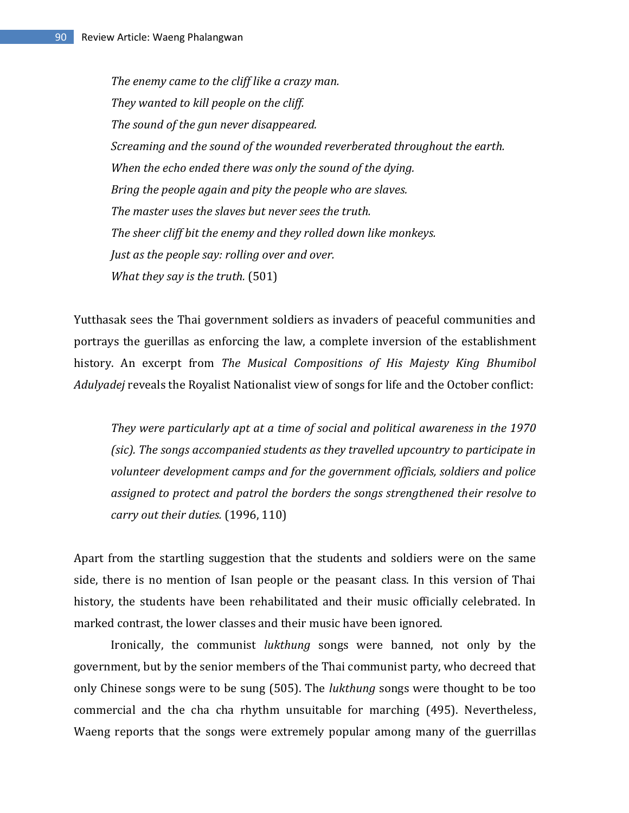*The enemy came to the cliff like a crazy man. They wanted to kill people on the cliff. The sound of the gun never disappeared. Screaming and the sound of the wounded reverberated throughout the earth. When the echo ended there was only the sound of the dying. Bring the people again and pity the people who are slaves. The master uses the slaves but never sees the truth. The sheer cliff bit the enemy and they rolled down like monkeys. Just as the people say: rolling over and over. What they say is the truth.* (501)

Yutthasak sees the Thai government soldiers as invaders of peaceful communities and portrays the guerillas as enforcing the law, a complete inversion of the establishment history. An excerpt from *The Musical Compositions of His Majesty King Bhumibol Adulyadej* reveals the Royalist Nationalist view of songs for life and the October conflict:

*They were particularly apt at a time of social and political awareness in the 1970 (sic). The songs accompanied students as they travelled upcountry to participate in volunteer development camps and for the government officials, soldiers and police assigned to protect and patrol the borders the songs strengthened their resolve to carry out their duties.* (1996, 110)

Apart from the startling suggestion that the students and soldiers were on the same side, there is no mention of Isan people or the peasant class. In this version of Thai history, the students have been rehabilitated and their music officially celebrated. In marked contrast, the lower classes and their music have been ignored.

Ironically, the communist *lukthung* songs were banned, not only by the government, but by the senior members of the Thai communist party, who decreed that only Chinese songs were to be sung (505). The *lukthung* songs were thought to be too commercial and the cha cha rhythm unsuitable for marching (495). Nevertheless, Waeng reports that the songs were extremely popular among many of the guerrillas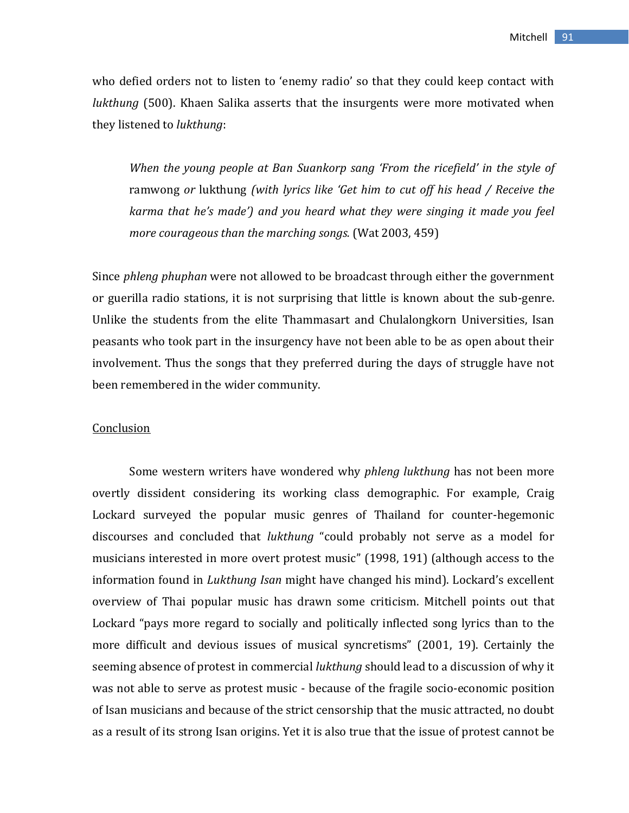who defied orders not to listen to 'enemy radio' so that they could keep contact with *lukthung* (500). Khaen Salika asserts that the insurgents were more motivated when they listened to *lukthung*:

*When the young people at Ban Suankorp sang 'From the ricefield' in the style of*  ramwong *or* lukthung *(with lyrics like 'Get him to cut off his head / Receive the karma that he's made') and you heard what they were singing it made you feel more courageous than the marching songs.* (Wat 2003, 459)

Since *phleng phuphan* were not allowed to be broadcast through either the government or guerilla radio stations, it is not surprising that little is known about the sub-genre. Unlike the students from the elite Thammasart and Chulalongkorn Universities, Isan peasants who took part in the insurgency have not been able to be as open about their involvement. Thus the songs that they preferred during the days of struggle have not been remembered in the wider community.

#### **Conclusion**

Some western writers have wondered why *phleng lukthung* has not been more overtly dissident considering its working class demographic. For example, Craig Lockard surveyed the popular music genres of Thailand for counter-hegemonic discourses and concluded that *lukthung* "could probably not serve as a model for musicians interested in more overt protest music" (1998, 191) (although access to the information found in *Lukthung Isan* might have changed his mind). Lockard's excellent overview of Thai popular music has drawn some criticism. Mitchell points out that Lockard "pays more regard to socially and politically inflected song lyrics than to the more difficult and devious issues of musical syncretisms" (2001, 19). Certainly the seeming absence of protest in commercial *lukthung* should lead to a discussion of why it was not able to serve as protest music - because of the fragile socio-economic position of Isan musicians and because of the strict censorship that the music attracted, no doubt as a result of its strong Isan origins. Yet it is also true that the issue of protest cannot be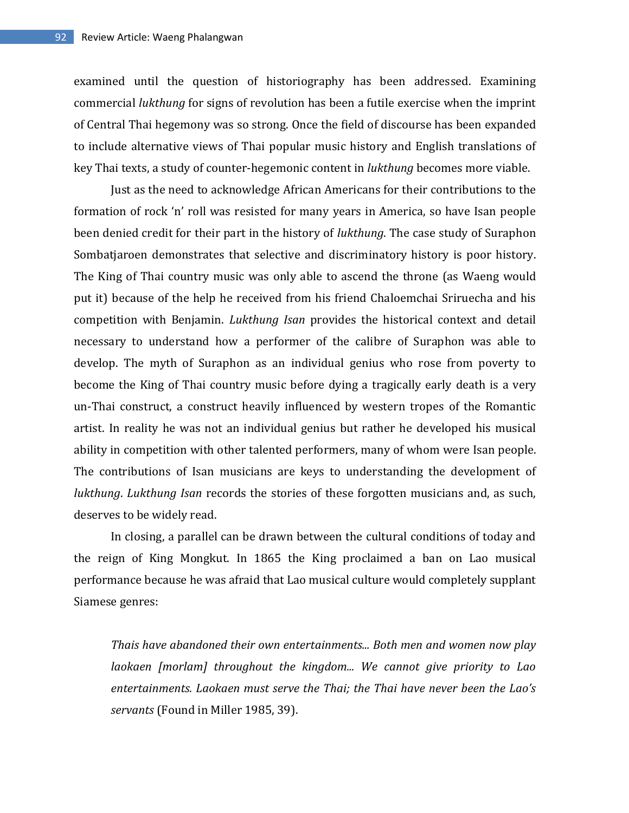examined until the question of historiography has been addressed. Examining commercial *lukthung* for signs of revolution has been a futile exercise when the imprint of Central Thai hegemony was so strong. Once the field of discourse has been expanded to include alternative views of Thai popular music history and English translations of key Thai texts, a study of counter-hegemonic content in *lukthung* becomes more viable.

Just as the need to acknowledge African Americans for their contributions to the formation of rock 'n' roll was resisted for many years in America, so have Isan people been denied credit for their part in the history of *lukthung*. The case study of Suraphon Sombatjaroen demonstrates that selective and discriminatory history is poor history. The King of Thai country music was only able to ascend the throne (as Waeng would put it) because of the help he received from his friend Chaloemchai Sriruecha and his competition with Benjamin. *Lukthung Isan* provides the historical context and detail necessary to understand how a performer of the calibre of Suraphon was able to develop. The myth of Suraphon as an individual genius who rose from poverty to become the King of Thai country music before dying a tragically early death is a very un-Thai construct, a construct heavily influenced by western tropes of the Romantic artist. In reality he was not an individual genius but rather he developed his musical ability in competition with other talented performers, many of whom were Isan people. The contributions of Isan musicians are keys to understanding the development of *lukthung*. *Lukthung Isan* records the stories of these forgotten musicians and, as such, deserves to be widely read.

In closing, a parallel can be drawn between the cultural conditions of today and the reign of King Mongkut. In 1865 the King proclaimed a ban on Lao musical performance because he was afraid that Lao musical culture would completely supplant Siamese genres:

*Thais have abandoned their own entertainments... Both men and women now play laokaen [morlam] throughout the kingdom... We cannot give priority to Lao entertainments. Laokaen must serve the Thai; the Thai have never been the Lao's servants* (Found in Miller 1985, 39).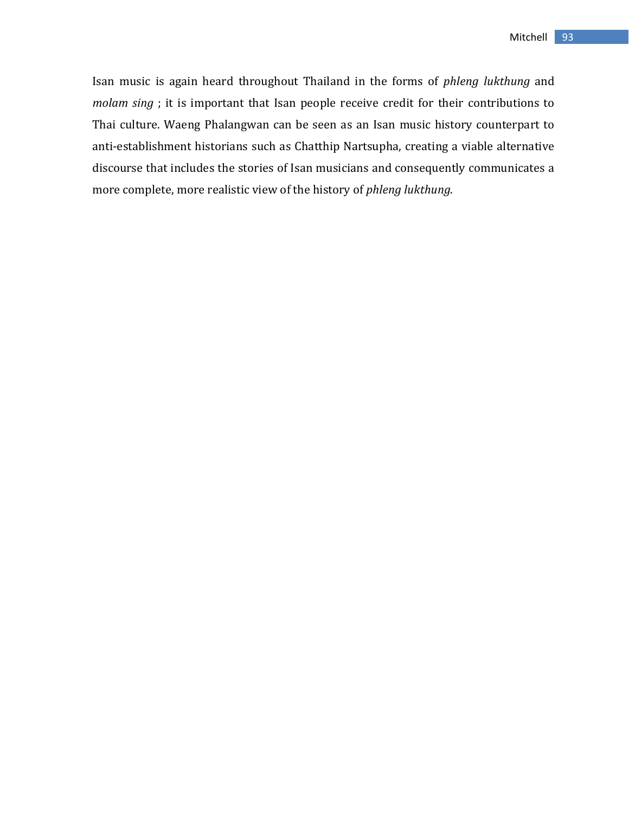Isan music is again heard throughout Thailand in the forms of *phleng lukthung* and *molam sing* ; it is important that Isan people receive credit for their contributions to Thai culture. Waeng Phalangwan can be seen as an Isan music history counterpart to anti-establishment historians such as Chatthip Nartsupha, creating a viable alternative discourse that includes the stories of Isan musicians and consequently communicates a more complete, more realistic view of the history of *phleng lukthung*.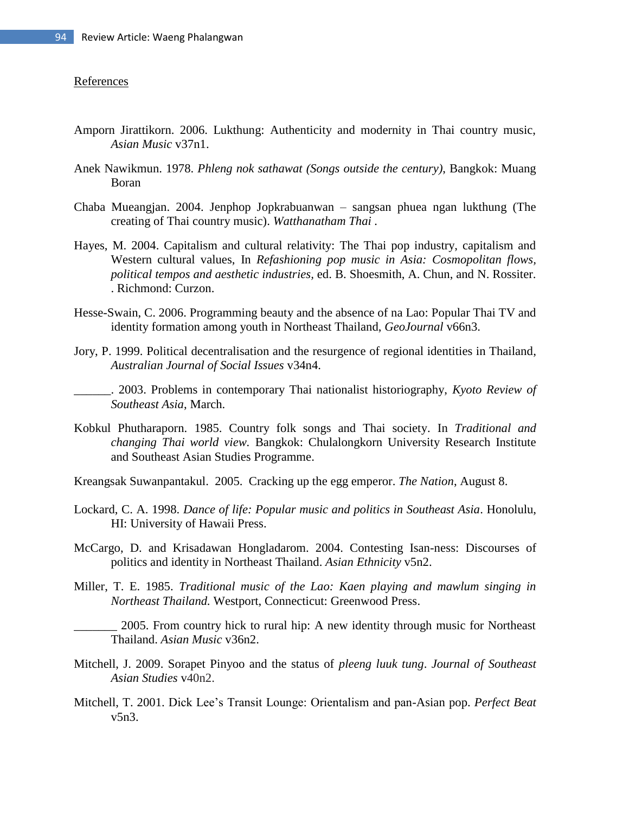#### References

- Amporn Jirattikorn. 2006. Lukthung: Authenticity and modernity in Thai country music, *Asian Music* v37n1.
- Anek Nawikmun. 1978. *Phleng nok sathawat (Songs outside the century)*, Bangkok: Muang Boran
- Chaba Mueangjan. 2004. Jenphop Jopkrabuanwan sangsan phuea ngan lukthung (The creating of Thai country music). *Watthanatham Thai .*
- Hayes, M. 2004. Capitalism and cultural relativity: The Thai pop industry, capitalism and Western cultural values, In *Refashioning pop music in Asia: Cosmopolitan flows, political tempos and aesthetic industries,* ed. B. Shoesmith, A. Chun, and N. Rossiter. . Richmond: Curzon.
- Hesse-Swain, C. 2006. Programming beauty and the absence of na Lao: Popular Thai TV and identity formation among youth in Northeast Thailand, *GeoJournal* v66n3.
- Jory, P. 1999. Political decentralisation and the resurgence of regional identities in Thailand, *Australian Journal of Social Issues* v34n4.
- \_\_\_\_\_\_. 2003. Problems in contemporary Thai nationalist historiography, *Kyoto Review of Southeast Asia*, March.
- Kobkul Phutharaporn. 1985. Country folk songs and Thai society. In *Traditional and changing Thai world view.* Bangkok: Chulalongkorn University Research Institute and Southeast Asian Studies Programme.
- Kreangsak Suwanpantakul. 2005. Cracking up the egg emperor. *The Nation*, August 8.
- Lockard, C. A. 1998. *Dance of life: Popular music and politics in Southeast Asia*. Honolulu, HI: University of Hawaii Press.
- McCargo, D. and Krisadawan Hongladarom. 2004. Contesting Isan-ness: Discourses of politics and identity in Northeast Thailand. *Asian Ethnicity* v5n2.
- Miller, T. E. 1985. *Traditional music of the Lao: Kaen playing and mawlum singing in Northeast Thailand.* Westport, Connecticut: Greenwood Press.

2005. From country hick to rural hip: A new identity through music for Northeast Thailand. *Asian Music* v36n2.

- Mitchell, J. 2009. Sorapet Pinyoo and the status of *pleeng luuk tung*. *Journal of Southeast Asian Studies* v40n2.
- Mitchell, T. 2001. Dick Lee's Transit Lounge: Orientalism and pan-Asian pop. *Perfect Beat* v5n3.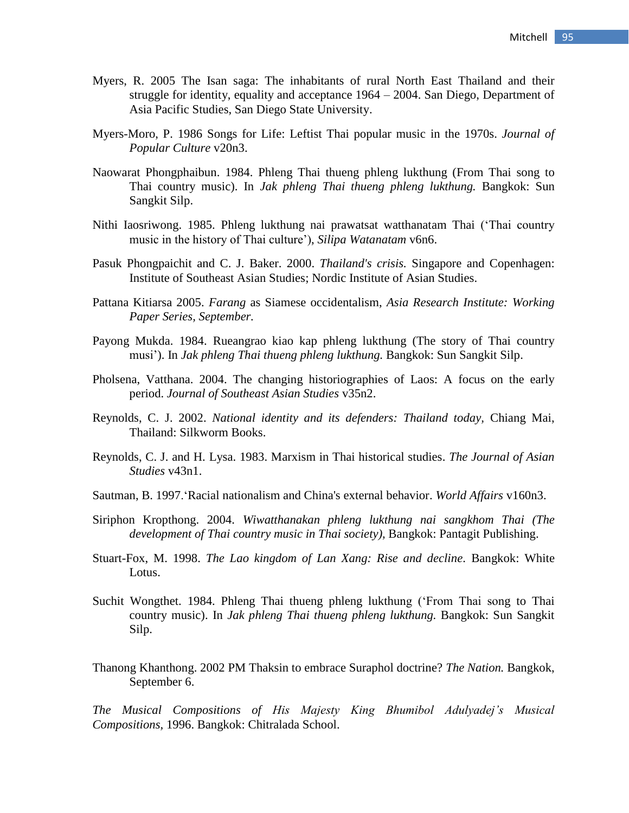- Myers, R. 2005 The Isan saga: The inhabitants of rural North East Thailand and their struggle for identity, equality and acceptance 1964 – 2004. San Diego, Department of Asia Pacific Studies, San Diego State University.
- Myers-Moro, P. 1986 Songs for Life: Leftist Thai popular music in the 1970s. *Journal of Popular Culture* v20n3.
- Naowarat Phongphaibun. 1984. Phleng Thai thueng phleng lukthung (From Thai song to Thai country music). In *Jak phleng Thai thueng phleng lukthung.* Bangkok: Sun Sangkit Silp.
- Nithi Iaosriwong. 1985. Phleng lukthung nai prawatsat watthanatam Thai ('Thai country music in the history of Thai culture'), *Silipa Watanatam* v6n6.
- Pasuk Phongpaichit and C. J. Baker. 2000. *Thailand's crisis.* Singapore and Copenhagen: Institute of Southeast Asian Studies; Nordic Institute of Asian Studies.
- Pattana Kitiarsa 2005. *Farang* as Siamese occidentalism, *Asia Research Institute: Working Paper Series, September.*
- Payong Mukda. 1984. Rueangrao kiao kap phleng lukthung (The story of Thai country musi'). In *Jak phleng Thai thueng phleng lukthung.* Bangkok: Sun Sangkit Silp.
- Pholsena, Vatthana. 2004. The changing historiographies of Laos: A focus on the early period. *Journal of Southeast Asian Studies* v35n2.
- Reynolds, C. J. 2002. *National identity and its defenders: Thailand today,* Chiang Mai, Thailand: Silkworm Books.
- Reynolds, C. J. and H. Lysa. 1983. Marxism in Thai historical studies. *The Journal of Asian Studies* v43n1.
- Sautman, B. 1997.'Racial nationalism and China's external behavior. *World Affairs* v160n3.
- Siriphon Kropthong. 2004. *Wiwatthanakan phleng lukthung nai sangkhom Thai (The development of Thai country music in Thai society),* Bangkok: Pantagit Publishing.
- Stuart-Fox, M. 1998. *The Lao kingdom of Lan Xang: Rise and decline.* Bangkok: White Lotus.
- Suchit Wongthet. 1984. Phleng Thai thueng phleng lukthung ('From Thai song to Thai country music). In *Jak phleng Thai thueng phleng lukthung.* Bangkok: Sun Sangkit Silp.
- Thanong Khanthong. 2002 PM Thaksin to embrace Suraphol doctrine? *The Nation.* Bangkok, September 6.

*The Musical Compositions of His Majesty King Bhumibol Adulyadej's Musical Compositions,* 1996. Bangkok: Chitralada School.